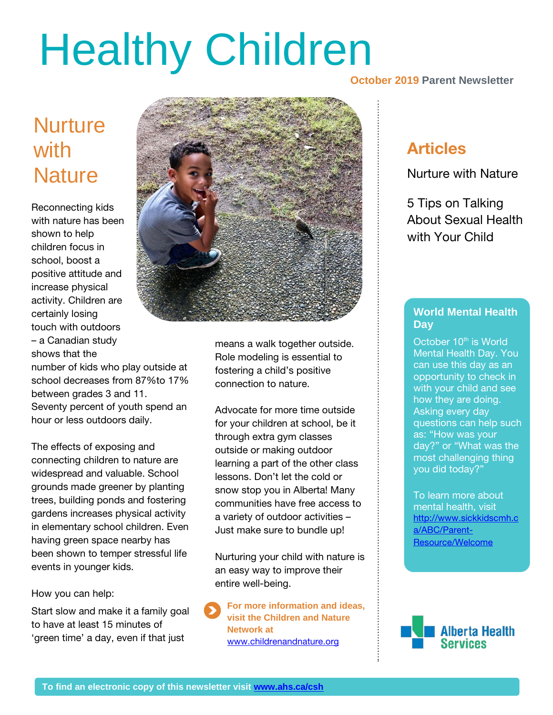# Healthy Children

**October 2019 Parent Newsletter**

## **Nurture** with **with Nature**

Reconnecting kids with nature has been shown to help children focus in school, boost a positive attitude and increase physical activity. Children are certainly losing touch with outdoors – a Canadian study shows that the

number of kids who play outside at school decreases from 87%to 17% between grades 3 and 11. Seventy percent of youth spend an hour or less outdoors daily.

The effects of exposing and connecting children to nature are widespread and valuable. School grounds made greener by planting trees, building ponds and fostering gardens increases physical activity in elementary school children. Even having green space nearby has been shown to temper stressful life events in younger kids.

#### How you can help:

Start slow and make it a family goal to have at least 15 minutes of 'green time' a day, even if that just



means a walk together outside. Role modeling is essential to fostering a child's positive connection to nature.

Advocate for more time outside for your children at school, be it through extra gym classes outside or making outdoor learning a part of the other class lessons. Don't let the cold or snow stop you in Alberta! Many communities have free access to a variety of outdoor activities – Just make sure to bundle up!

Nurturing your child with nature is an easy way to improve their entire well-being.

**For more information and ideas, visit the Children and Nature Network at**  [www.childrenandnature.org](http://www.childrenandnature.org/)

#### Articles

Nurture with Nature

5 Tips on Talking About Sexual Health with Your Child

#### **World Mental Health Day**

**30%** as: "How was your **\$10,000** can use this day as an October 10<sup>th</sup> is World Mental Health Day. You opportunity to check in with your child and see how they are doing. Asking every day questions can help such day?" or "What was the most challenging thing you did today?"

mental health, visit<br>http://www.eiakkidee To learn more about [http://www.sickkidscmh.c](http://www.sickkidscmh.ca/ABC/Parent-Resource/Welcome) [a/ABC/Parent-](http://www.sickkidscmh.ca/ABC/Parent-Resource/Welcome)[Resource/Welcome](http://www.sickkidscmh.ca/ABC/Parent-Resource/Welcome)